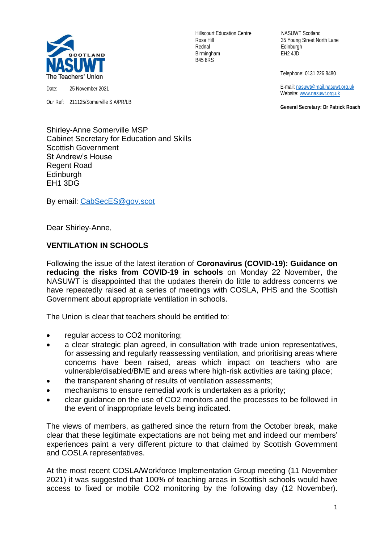

Date: 25 November 2021

Our Ref: 211125/Somerville S A/PR/LB

Hillscourt Education Centre NASUWT Scotland Rednal Edinburgh Birmingham EH2 4JD B45 8RS

Rose Hill 35 Young Street North Lane

Telephone: 0131 226 8480

 E-mail[: nasuwt@mail.nasuwt.org.uk](mailto:nasuwt@mail.nasuwt.org.uk) Website: [www.nasuwt.org.uk](http://www.nasuwt.org.uk/)

 **General Secretary: Dr Patrick Roach**

Shirley-Anne Somerville MSP Cabinet Secretary for Education and Skills Scottish Government St Andrew's House Regent Road **Edinburgh** EH1 3DG

By email: [CabSecES@gov.scot](mailto:CabSecES@gov.scot)

Dear Shirley-Anne,

## **VENTILATION IN SCHOOLS**

Following the issue of the latest iteration of **Coronavirus (COVID-19): Guidance on reducing the risks from COVID-19 in schools** on Monday 22 November, the NASUWT is disappointed that the updates therein do little to address concerns we have repeatedly raised at a series of meetings with COSLA, PHS and the Scottish Government about appropriate ventilation in schools.

The Union is clear that teachers should be entitled to:

- regular access to CO2 monitoring;
- a clear strategic plan agreed, in consultation with trade union representatives, for assessing and regularly reassessing ventilation, and prioritising areas where concerns have been raised, areas which impact on teachers who are vulnerable/disabled/BME and areas where high-risk activities are taking place;
- the transparent sharing of results of ventilation assessments;
- mechanisms to ensure remedial work is undertaken as a priority;
- clear guidance on the use of CO2 monitors and the processes to be followed in the event of inappropriate levels being indicated.

The views of members, as gathered since the return from the October break, make clear that these legitimate expectations are not being met and indeed our members' experiences paint a very different picture to that claimed by Scottish Government and COSLA representatives.

At the most recent COSLA/Workforce Implementation Group meeting (11 November 2021) it was suggested that 100% of teaching areas in Scottish schools would have access to fixed or mobile CO2 monitoring by the following day (12 November).